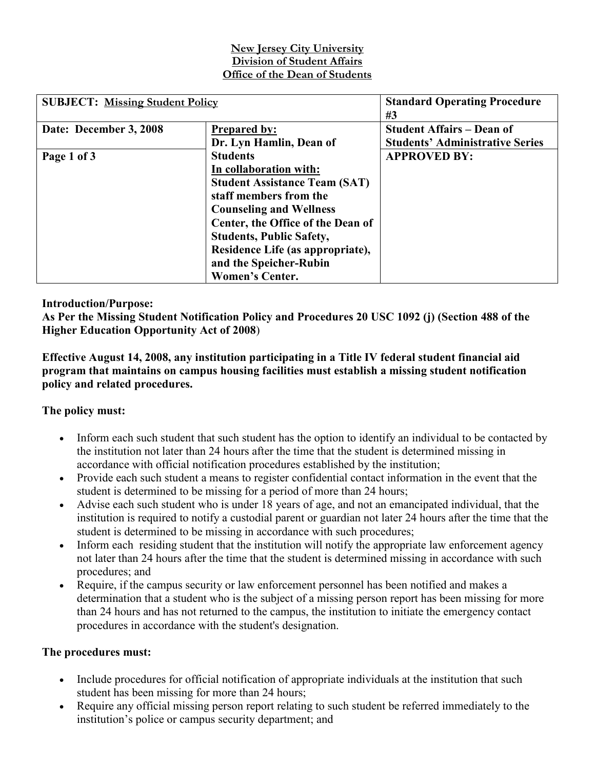### New Jersey City University Division of Student Affairs Office of the Dean of Students

| <b>SUBJECT: Missing Student Policy</b> |                                      | <b>Standard Operating Procedure</b><br>#3 |
|----------------------------------------|--------------------------------------|-------------------------------------------|
| Date: December 3, 2008                 | <b>Prepared by:</b>                  | <b>Student Affairs – Dean of</b>          |
|                                        | Dr. Lyn Hamlin, Dean of              | <b>Students' Administrative Series</b>    |
| Page 1 of 3                            | <b>Students</b>                      | <b>APPROVED BY:</b>                       |
|                                        | In collaboration with:               |                                           |
|                                        | <b>Student Assistance Team (SAT)</b> |                                           |
|                                        | staff members from the               |                                           |
|                                        | <b>Counseling and Wellness</b>       |                                           |
|                                        | Center, the Office of the Dean of    |                                           |
|                                        | <b>Students, Public Safety,</b>      |                                           |
|                                        | Residence Life (as appropriate),     |                                           |
|                                        | and the Speicher-Rubin               |                                           |
|                                        | <b>Women's Center.</b>               |                                           |

# Introduction/Purpose:

As Per the Missing Student Notification Policy and Procedures 20 USC 1092 (j) (Section 488 of the Higher Education Opportunity Act of 2008)

Effective August 14, 2008, any institution participating in a Title IV federal student financial aid program that maintains on campus housing facilities must establish a missing student notification policy and related procedures.

## The policy must:

- Inform each such student that such student has the option to identify an individual to be contacted by the institution not later than 24 hours after the time that the student is determined missing in accordance with official notification procedures established by the institution;
- Provide each such student a means to register confidential contact information in the event that the student is determined to be missing for a period of more than 24 hours;
- Advise each such student who is under 18 years of age, and not an emancipated individual, that the institution is required to notify a custodial parent or guardian not later 24 hours after the time that the student is determined to be missing in accordance with such procedures;
- Inform each residing student that the institution will notify the appropriate law enforcement agency not later than 24 hours after the time that the student is determined missing in accordance with such procedures; and
- Require, if the campus security or law enforcement personnel has been notified and makes a determination that a student who is the subject of a missing person report has been missing for more than 24 hours and has not returned to the campus, the institution to initiate the emergency contact procedures in accordance with the student's designation.

## The procedures must:

- Include procedures for official notification of appropriate individuals at the institution that such student has been missing for more than 24 hours;
- Require any official missing person report relating to such student be referred immediately to the institution's police or campus security department; and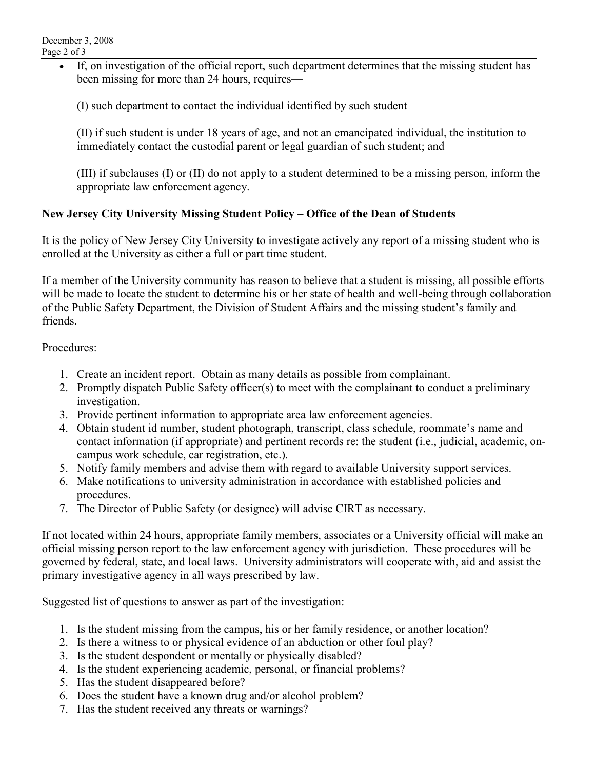- If, on investigation of the official report, such department determines that the missing student has been missing for more than 24 hours, requires—
	- (I) such department to contact the individual identified by such student

(II) if such student is under 18 years of age, and not an emancipated individual, the institution to immediately contact the custodial parent or legal guardian of such student; and

(III) if subclauses (I) or (II) do not apply to a student determined to be a missing person, inform the appropriate law enforcement agency.

## New Jersey City University Missing Student Policy – Office of the Dean of Students

It is the policy of New Jersey City University to investigate actively any report of a missing student who is enrolled at the University as either a full or part time student.

If a member of the University community has reason to believe that a student is missing, all possible efforts will be made to locate the student to determine his or her state of health and well-being through collaboration of the Public Safety Department, the Division of Student Affairs and the missing student's family and friends.

## Procedures:

- 1. Create an incident report. Obtain as many details as possible from complainant.
- 2. Promptly dispatch Public Safety officer(s) to meet with the complainant to conduct a preliminary investigation.
- 3. Provide pertinent information to appropriate area law enforcement agencies.
- 4. Obtain student id number, student photograph, transcript, class schedule, roommate's name and contact information (if appropriate) and pertinent records re: the student (i.e., judicial, academic, oncampus work schedule, car registration, etc.).
- 5. Notify family members and advise them with regard to available University support services.
- 6. Make notifications to university administration in accordance with established policies and procedures.
- 7. The Director of Public Safety (or designee) will advise CIRT as necessary.

If not located within 24 hours, appropriate family members, associates or a University official will make an official missing person report to the law enforcement agency with jurisdiction. These procedures will be governed by federal, state, and local laws. University administrators will cooperate with, aid and assist the primary investigative agency in all ways prescribed by law.

Suggested list of questions to answer as part of the investigation:

- 1. Is the student missing from the campus, his or her family residence, or another location?
- 2. Is there a witness to or physical evidence of an abduction or other foul play?
- 3. Is the student despondent or mentally or physically disabled?
- 4. Is the student experiencing academic, personal, or financial problems?
- 5. Has the student disappeared before?
- 6. Does the student have a known drug and/or alcohol problem?
- 7. Has the student received any threats or warnings?